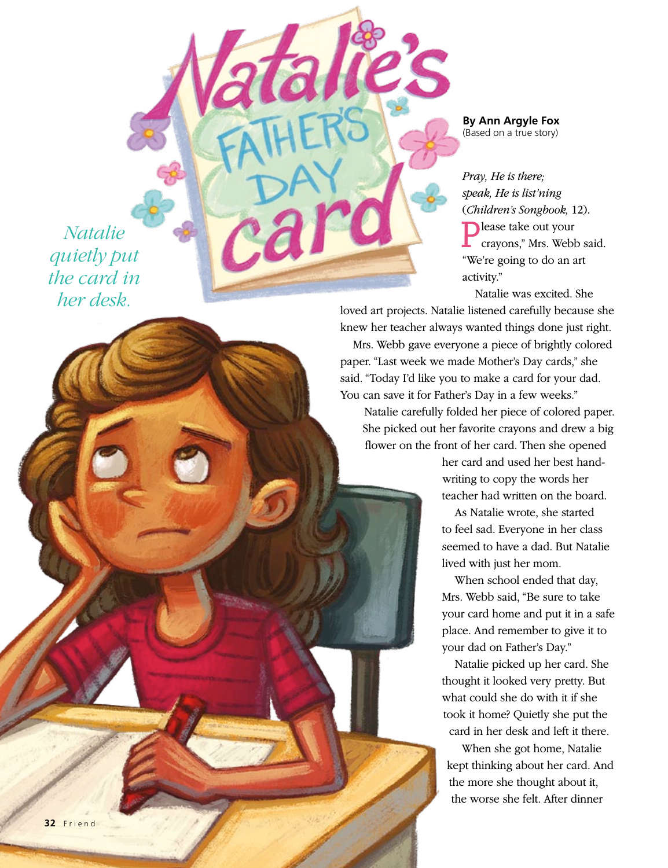*Natalie quietly put the card in her desk.*

**By Ann Argyle Fox**  (Based on a true story)

*Pray, He is there; speak, He is list'ning*  (*Children's Songbook,* 12). **Please take out your** crayons," Mrs. Webb said. "We're going to do an art activity."

Natalie was excited. She

loved art projects. Natalie listened carefully because she knew her teacher always wanted things done just right.

Mrs. Webb gave everyone a piece of brightly colored paper. "Last week we made Mother's Day cards," she said. "Today I'd like you to make a card for your dad. You can save it for Father's Day in a few weeks."

Natalie carefully folded her piece of colored paper. She picked out her favorite crayons and drew a big flower on the front of her card. Then she opened

> her card and used her best handwriting to copy the words her teacher had written on the board.

As Natalie wrote, she started to feel sad. Everyone in her class seemed to have a dad. But Natalie lived with just her mom.

When school ended that day, Mrs. Webb said, "Be sure to take your card home and put it in a safe place. And remember to give it to your dad on Father's Day."

Natalie picked up her card. She thought it looked very pretty. But what could she do with it if she took it home? Quietly she put the card in her desk and left it there.

When she got home, Natalie kept thinking about her card. And the more she thought about it, the worse she felt. After dinner